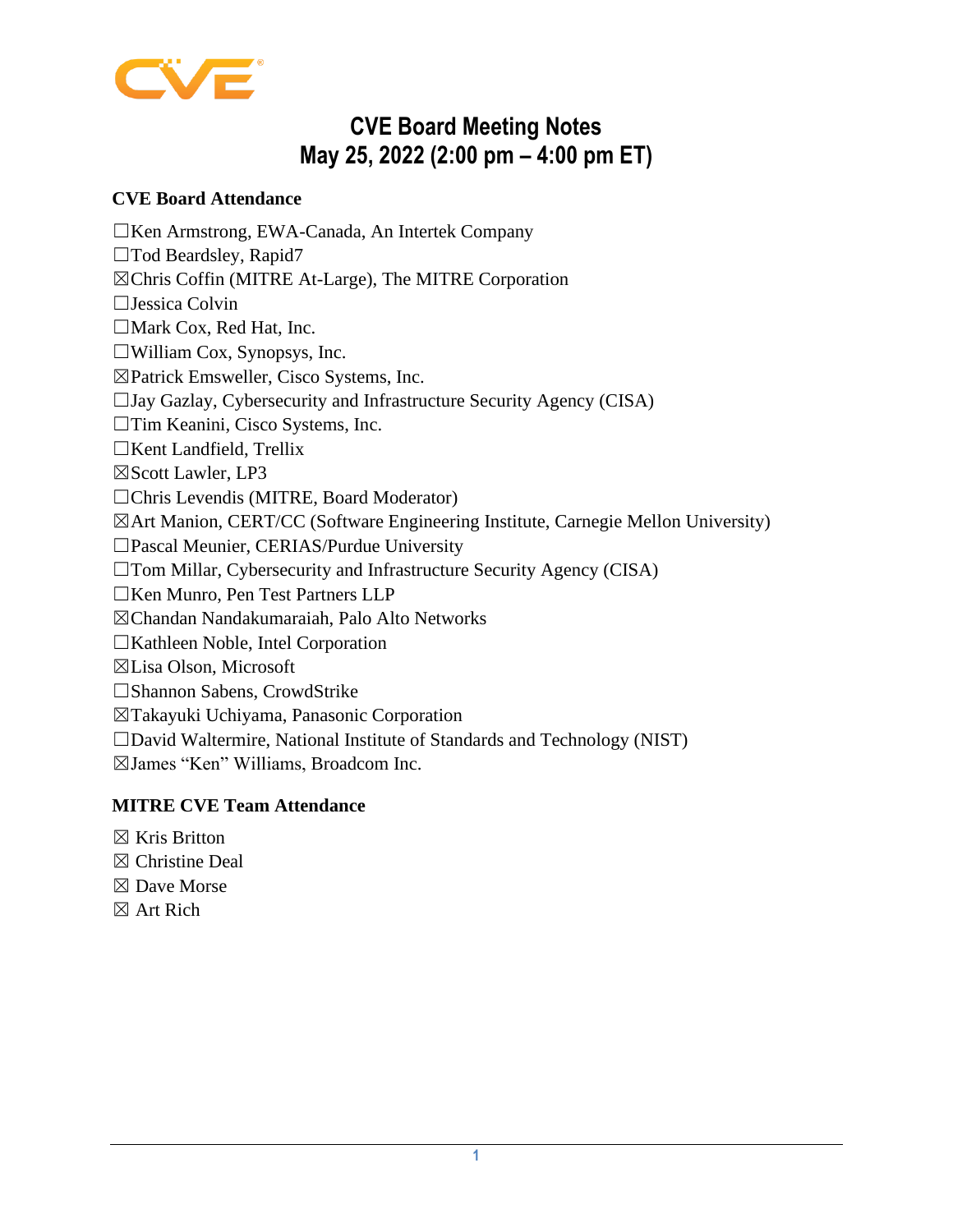

# **CVE Board Meeting Notes May 25, 2022 (2:00 pm – 4:00 pm ET)**

# **CVE Board Attendance**

☐Ken Armstrong, [EWA-Canada, An Intertek Company](https://www.intertek.com/cybersecurity/ewa-canada/)

- □Tod Beardsley, [Rapid7](https://www.rapid7.com/)
- ☒Chris Coffin (MITRE At-Large), [The MITRE Corporation](https://www.mitre.org/)
- ☐Jessica Colvin
- □Mark Cox, [Red Hat, Inc.](https://www.redhat.com/)
- $\Box$ William Cox, [Synopsys, Inc.](https://www.synopsys.com/)
- ☒Patrick Emsweller, [Cisco Systems, Inc.](https://www.cisco.com/)
- $\Box$ Jay Gazlay, [Cybersecurity and Infrastructure Security Agency \(CISA\)](https://www.dhs.gov/cisa/cybersecurity-division/)
- ☐Tim Keanini, [Cisco Systems, Inc.](https://www.cisco.com/)
- ☐Kent Landfield, [Trellix](https://www.trellix.com/en-us/index.html)
- ☒Scott Lawler, [LP3](https://lp3.com/)
- ☐Chris Levendis (MITRE, Board Moderator)
- ☒Art Manion, [CERT/CC \(Software Engineering Institute, Carnegie Mellon University\)](https://www.cert.org/)
- ☐Pascal Meunier, [CERIAS/Purdue University](https://www.cerias.purdue.edu/)
- ☐Tom Millar, [Cybersecurity and Infrastructure Security Agency \(CISA\)](https://www.dhs.gov/cisa/cybersecurity-division/)
- ☐Ken Munro, [Pen Test Partners LLP](https://www.pentestpartners.com/)
- ☒Chandan Nandakumaraiah, [Palo Alto Networks](https://www.paloaltonetworks.com/)
- ☐Kathleen Noble, [Intel Corporation](https://www.intel.com/)
- ☒Lisa Olson, [Microsoft](https://www.microsoft.com/)
- ☐Shannon Sabens, [CrowdStrike](https://www.crowdstrike.com/)
- ☒Takayuki Uchiyama, [Panasonic Corporation](https://www.panasonic.com/global/home.html)
- ☐David Waltermire, [National Institute of Standards and Technology \(NIST\)](https://www.nist.gov/index.html)
- ☒James "Ken" Williams, [Broadcom Inc.](https://www.broadcom.com/)

# **MITRE CVE Team Attendance**

- $\boxtimes$  Kris Britton
- ☒ Christine Deal
- ☒ Dave Morse
- ☒ Art Rich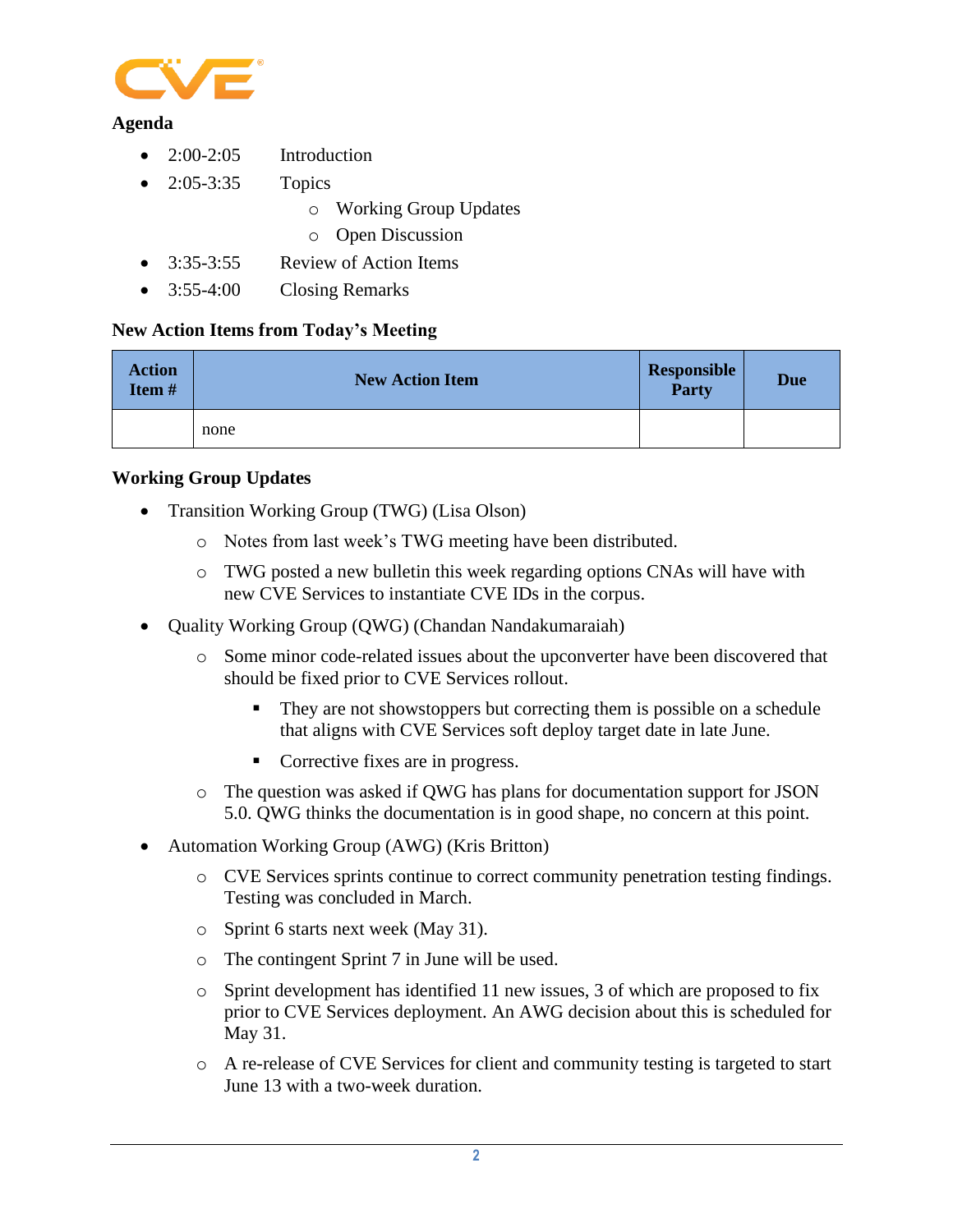

#### **Agenda**

- $2:00-2:05$  Introduction
- 2:05-3:35 Topics
	- o Working Group Updates
	- o Open Discussion
- 3:35-3:55 Review of Action Items
- 3:55-4:00 Closing Remarks

# **New Action Items from Today's Meeting**

| <b>Action</b><br>Item# | <b>New Action Item</b> | Responsible<br><b>Party</b> | <b>Due</b> |
|------------------------|------------------------|-----------------------------|------------|
|                        | none                   |                             |            |

#### **Working Group Updates**

- Transition Working Group (TWG) (Lisa Olson)
	- o Notes from last week's TWG meeting have been distributed.
	- o TWG posted a new bulletin this week regarding options CNAs will have with new CVE Services to instantiate CVE IDs in the corpus.
- Quality Working Group (QWG) (Chandan Nandakumaraiah)
	- o Some minor code-related issues about the upconverter have been discovered that should be fixed prior to CVE Services rollout.
		- They are not showstoppers but correcting them is possible on a schedule that aligns with CVE Services soft deploy target date in late June.
		- Corrective fixes are in progress.
	- o The question was asked if QWG has plans for documentation support for JSON 5.0. QWG thinks the documentation is in good shape, no concern at this point.
- Automation Working Group (AWG) (Kris Britton)
	- o CVE Services sprints continue to correct community penetration testing findings. Testing was concluded in March.
	- o Sprint 6 starts next week (May 31).
	- o The contingent Sprint 7 in June will be used.
	- o Sprint development has identified 11 new issues, 3 of which are proposed to fix prior to CVE Services deployment. An AWG decision about this is scheduled for May 31.
	- o A re-release of CVE Services for client and community testing is targeted to start June 13 with a two-week duration.